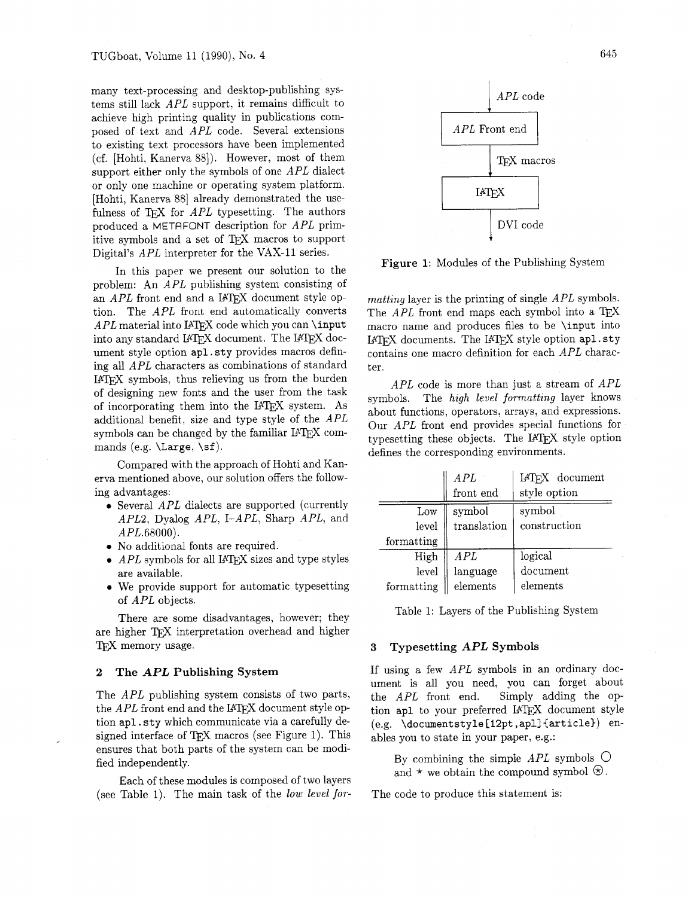many text-processing and desktop-publishing systems still lack APL support, it remains difficult to achieve high printing quality in publications composed of text and APL code. Several extensions to existing text processors have been implemented (cf. [Hohti, Kanerva 881). However, most of them support either only the symbols of one *APL* dialect or only one machine or operating system platform. Hohti, Kanerva 88] already demonstrated the usefor only one machine or operating system platform.<br>Hohti, Kanerva 88] already demonstrated the use-<br>ulness of T<sub>E</sub>X for *APL* typesetting. The authors produced a METAFONT description for APL primitive symbols and a set of TFX macros to support Digital's APL interpreter for the VAX-11 series.

In this paper we present our solution to the problem: An APL publishing system consisting of an  $APL$  front end and a IATFX document style option. The APL front end automatically converts Fig. 1 Intervals and the IPTEX code which you can \input nto any standard IPTEX document. The IPTEX document style option apl . sty provides macros defining all APL characters as combinations of standard IATFX symbols, thus relieving us from the burden of designing new fonts and the user from the task of incorporating them into the IATEX system. As additional benefit, size and type style of the APL symbols can be changed by the familiar IATEX commands (e.g.  $\text{Large}, \text{sf}.$ 

Compared with the approach of Hohti and Kanerva mentioned above, our solution offers the following advantages:

- Several APL dialects are supported (currently APL2, Dyalog APL, I-APL, Sharp APL, and  $APL.68000$ ).
- No additional fonts are required.
- $\bullet$  *APL* symbols for all IATFX sizes and type styles are available.
- We provide support for automatic typesetting of APL objects.

There are some disadvantages, however; they are higher TEX interpretation overhead and higher TFX memory usage.

# **2 The APL Publishing System**

The *APL* publishing system consists of two parts, the  $APL$  front end and the IATEX document style opthe *APL* front end and the B-I<sub>E</sub>A document style option apl . sty which communicate via a carefully de-<br>signed interface of T<sub>E</sub>X macros (see Figure 1). This ensures that both parts of the system can be modified independently.

Each of these modules is composed of two layers (see Table 1). The main task of the *low level for-*



**Figure 1:** Modules of the Publishing System

*matting* layer is the printing of single APL symbols. The  $APL$  front end maps each symbol into a T<sub>E</sub>X macro name and produces files to be \input into IATFX documents. The IATFX style option apl.sty contains one macro definition for each APL character.

APL code is more than just a stream of  $APL$ symbols. The *high level formatting* layer knows about functions, operators, arrays, and expressions. Our APL front end provides special functions for typesetting these objects. The IATFX style option defines the corresponding environments.

|            | APL         | IAT <sub>F</sub> X document |
|------------|-------------|-----------------------------|
|            | front end   | style option                |
| Low        | symbol      | symbol                      |
| level      | translation | construction                |
| formatting |             |                             |
| High       | A PL        | logical                     |
| level      | language    | document                    |
| formatting | elements    | elements                    |

Table 1: Layers of the Publishing System

### **3 Typesetting APL Symbols**

If using a few APL symbols in an ordinary document is all you need, you can forget about the APL front end. Simply adding the option apl to your preferred IATEX document style (e.g. \documentstyle [12pt ,apll {article)) enables you to state in your paper, e.g.:

By combining the simple  $APL$  symbols  $\bigcirc$ and  $\star$  we obtain the compound symbol  $\otimes$ .

The code to produce this statement is: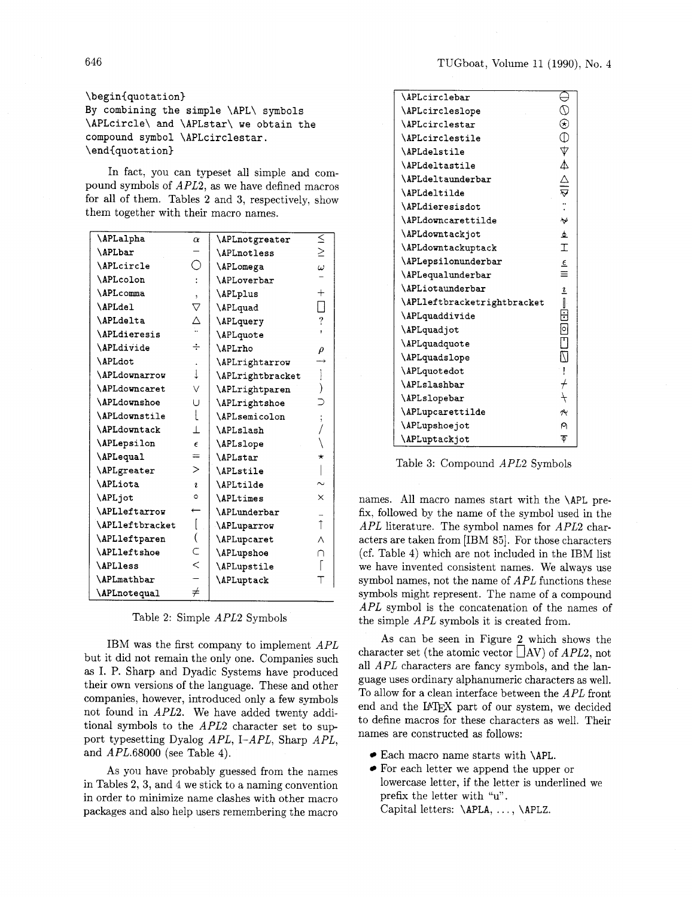# **\begin{quot at ion)**

**By combining the simple \APL\ symbols \APLcircle\ and \APLstar\ we obtain the compound symbol \APLcirclestar. \end(quot at ion)** 

In fact, you can typeset all simple and compound symbols of APL2, as we have defined macros for all of them. Tables 2 and 3, respectively, show them together with their macro names.

| <b>\APLalpha</b>         | $\alpha$                     | \APLnotgreater     | $\leq$                   |
|--------------------------|------------------------------|--------------------|--------------------------|
| <b>\APLbar</b>           |                              | <b>\APLnotless</b> | $\geq$                   |
| <b>\APLcircle</b>        | ○                            | <b>\APLomega</b>   | $\omega$                 |
| \APLcolon                |                              | <b>\APLoverbar</b> |                          |
| <b>\APLcomma</b>         | ١.                           | <i>APLplus</i>     | $^{+}$                   |
| \APLdel                  | $\triangledown$              | \APLquad           | $\mathsf{I}$             |
| <b>\APLdelta</b>         | $\overset{\triangle}{\cdot}$ | \APLquery          | $\overline{\mathcal{E}}$ |
| <b>\APLdieresis</b>      |                              | \APLquote          |                          |
| \APLdivide               | ÷                            | \APLrho            | ρ                        |
| <b>\APLdot</b>           |                              | \APLrightarrow     |                          |
| <b>\APLdownarrow</b>     | $\downarrow$                 | \APLrightbracket   |                          |
| <b>\APLdowncaret</b>     | V                            | \APLrightparen     |                          |
| <b>\APLdownshoe</b>      | Ü                            | \APLrightshoe      |                          |
| \APLdownstile            | L                            | \APLsemicolon      |                          |
| <b>\APLdowntack</b>      | $\perp$                      | <b>\APLslash</b>   |                          |
| <b>\APLepsilon</b>       | $\epsilon$                   | \APLslope          |                          |
| \APLequal                | $=$                          | <b>\APLstar</b>    | *                        |
| <i><b>APLgreater</b></i> | $\geq$                       | <b>\APLstile</b>   |                          |
| <b>\APLiota</b>          | $\mathbf{r}$                 | <b>\APLtilde</b>   |                          |
| \APLjot                  | ۰                            | <b>\APLtimes</b>   | ×                        |
| \APLleftarrow            |                              | \APLunderbar       |                          |
| \APLleftbracket          |                              | <b>APLuparrow</b>  | $\uparrow$               |
| \APLleftparen            |                              | <b>\APLupcaret</b> | Λ                        |
| <b>\APLleftshoe</b>      | C                            | <b>APLupshoe</b>   | ∩                        |
| <b>\APLless</b>          | $\lt$                        | \APLupstile        |                          |
| <b>\APLmathbar</b>       |                              | <b>\APLuptack</b>  |                          |
| \APLnotequal             | $\neq$                       |                    |                          |

Table 2: Simple APL2 Symbols

IBM was the first company to implement APL but it did not remain the only one. Companies such as I. P. Sharp and Dyadic Systems have produced their own versions of the language. These and other companies, however, introduced only a few symbols not found in APL2. We have added twenty additional symbols to the APL2 character set to sup port typesetting Dyalog APL, I-APL, Sharp APL, and APL.68000 (see Table 4).

As you have probably guessed from the names in Tables 2, **3,** and 4 we stick to a naming convention in order to minimize name clashes with other macro packages and also help users remembering the macro

| <b>\APLcirclebar</b>        | ∈                                       |  |
|-----------------------------|-----------------------------------------|--|
| \APLcircleslope             |                                         |  |
| <b>\APLcirclestar</b>       |                                         |  |
| \APLcirclestile             |                                         |  |
| <b>\APLdelstile</b>         |                                         |  |
| <b>\APLdeltastile</b>       |                                         |  |
| \APLdeltaunderbar           | $\ominus$ $\ominus$ $\ominus$ $\ominus$ |  |
| <b>\APLdeltilde</b>         |                                         |  |
| <b>\APLdieresisdot</b>      |                                         |  |
| \APLdowncarettilde          | $\checkmark$                            |  |
| \APLdowntackjot             | $\overline{\phi}$                       |  |
| <b>\APLdowntackuptack</b>   | $\overline{1}$                          |  |
| \APLepsilonunderbar         | $\underline{\epsilon}$                  |  |
| \APLequalunderbar           | $\equiv$                                |  |
| <b>\APLiotaunderbar</b>     | $\mathbf{z}$                            |  |
| \APLleftbracketrightbracket |                                         |  |
| \APLquaddivide              | $\frac{1}{10}$                          |  |
| \APLquadjot                 |                                         |  |
| \APLquadquote               |                                         |  |
| \APLquadslope               |                                         |  |
| \APLquotedot                |                                         |  |
| <b>\APLslashbar</b>         |                                         |  |
| \APLslopebar                | $\overline{+}$                          |  |
| \APLupcarettilde            | ペ                                       |  |
| \APLupshoejot               | ρ                                       |  |
| <b>\APLuptackjot</b>        | Φ                                       |  |

Table 3: Compound APL2 Symbols

names. All macro names start with the **\APL** prefix, followed by the name of the symbol used in the APL literature. The symbol names for APL2 characters are taken from [IBM 851. For those characters (cf. Table 4) which are not included in the IBM list we have invented consistent names. We always use symbol names, not the name of APL functions these symbols might represent. The name of a compound APL symbol is the concatenation of the names of the simple APL symbols it is created from.

As can be seen in Figure 2 which shows the character set (the atomic vector  $\Box$ AV) of *APL*2, not all APL characters are fancy symbols, and the language uses ordinary alphanumeric characters as well. To allow for a clean interface between the APL front end and the IATFX part of our system, we decided to define macros for these characters as well. Their names are constructed as follows:

- Each macro name starts with **\APL.**
- For each letter we append the upper or lowercase letter, if the letter is underlined we prefix the letter with "u". Capital letters: **\APLA,** . . . , **\APLZ.**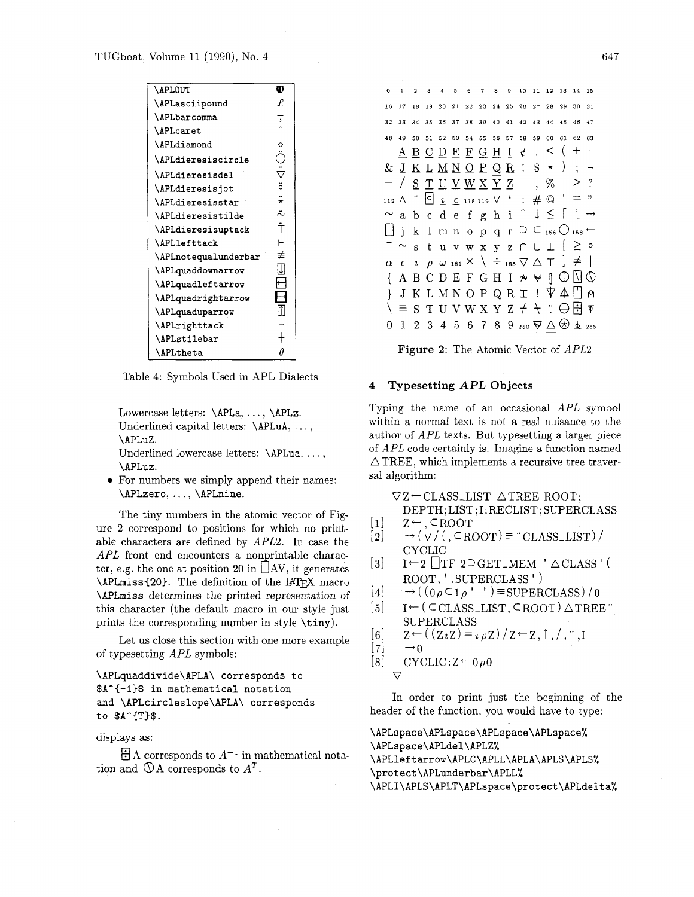| <b>\APLOUT</b>            | O                    |
|---------------------------|----------------------|
| \APLasciipound            | £                    |
| <b>\APLbarcomma</b>       | $\ddot{\phantom{1}}$ |
| <b>\APLcaret</b>          |                      |
| \APLdiamond               | ♦                    |
| <b>\APLdieresiscircle</b> | ڐ                    |
| \APLdieresisdel           | $\ddot{\nabla}$      |
| <b>\APLdieresisjot</b>    | ä                    |
| <b>\APLdieresisstar</b>   | ₩                    |
| \APLdieresistilde         | 2                    |
| \APLdieresisuptack        | Ť                    |
| <b>\APLlefttack</b>       |                      |
| \APLnotequalunderbar      | ≢                    |
| \APLquaddownarrow         | IJ                   |
| \APLquadleftarrow         |                      |
| \APLquadrightarrow        |                      |
| \APLquaduparrow           | î                    |
| <b>\APLrighttack</b>      |                      |
| <b>\APLstilebar</b>       |                      |
| <b>\APLtheta</b>          | Α                    |

Table 4: Symbols Used in APL Dialects

Lowercase letters: \APLa, . . . , \APLz. Underlined capital letters: \APLuA, ..., \APLuZ.

Underlined lowercase letters: \APLua, . . . , \APLuz.

For numbers we simply append their names: \APLzero, . . . , \APLnine.

The tiny numbers in the atomic vector of Figure 2 correspond to positions for which no printable characters are defined by APL2. In case the  $APL$  front end encounters a nonprintable character, e.g. the one at position 20 in  $\vert$  AV, it generates  $\Lambda$ PLmiss{20}. The definition of the IATFX macro \APLmiss determines the printed representation of this character (the default macro in our style just prints the corresponding number in style \tiny).

Let us close this section with one more example of typesetting APL symbols:

\APLquaddivide\APLA\ corresponds to \$A^{-1}\$ in mathematical notation and \APLcircleslope\APLA\ corresponds to  $A^{T}T$ )\$.

displays as:

 $\exists$  A corresponds to  $A^{-1}$  in mathematical notation and  $\mathbb{Q}A$  corresponds to  $A^T$ .

| 0  | $\mathbf{1}$  | $\overline{2}$ | 3  | $\overline{4}$ | 5 |                                                                                                                                                | 6 7 | 8 | 9  | 10 <sub>10</sub>                                                                              | 11 | 12 |    | 13 14 15 |    |
|----|---------------|----------------|----|----------------|---|------------------------------------------------------------------------------------------------------------------------------------------------|-----|---|----|-----------------------------------------------------------------------------------------------|----|----|----|----------|----|
| 16 | 17            | 18             |    |                |   | 19 20 21 22 23 24 25 26 27 28 29 30 31                                                                                                         |     |   |    |                                                                                               |    |    |    |          |    |
| 32 |               |                |    |                |   | 33 34 35 36 37 38 39 40 41 42 43 44 45 46 47                                                                                                   |     |   |    |                                                                                               |    |    |    |          |    |
| 48 | 49            | 50             | 51 |                |   | 52 53 54 55 56                                                                                                                                 |     |   | 57 | 58                                                                                            | 59 | 60 | 61 | 62       | 63 |
|    |               |                |    |                |   | $\underline{A} \underline{B} \underline{C} \underline{D} \underline{E} \underline{F} \underline{G} \underline{H} \underline{I} \phi$ . < ( + ) |     |   |    |                                                                                               |    |    |    |          |    |
|    |               |                |    |                |   | & <u>J K L M N O P Q R</u> ! $\frac{1}{3}$ * ) ; $\rightarrow$                                                                                 |     |   |    |                                                                                               |    |    |    |          |    |
|    |               |                |    |                |   | - / <u>s T U V W X Y</u> Z : , % _ > ?                                                                                                         |     |   |    |                                                                                               |    |    |    |          |    |
|    |               |                |    |                |   | 112 A $\cdot$ 0 $\frac{1}{2}$ $\epsilon$ 118 119 V $\cdot$ : # $\circledcirc$ ' = "                                                            |     |   |    |                                                                                               |    |    |    |          |    |
|    |               |                |    |                |   |                                                                                                                                                |     |   |    |                                                                                               |    |    |    |          |    |
|    |               |                |    |                |   |                                                                                                                                                |     |   |    | $\sim$ a b c d e f g h i $\uparrow \ \downarrow \ \leq \ \uparrow \ \downarrow \ \rightarrow$ |    |    |    |          |    |
|    |               |                |    |                |   | j k 1 m n o p q r $\supset \subset$ 156 $\bigcirc$ 158 $\leftarrow$                                                                            |     |   |    |                                                                                               |    |    |    |          |    |
|    | $^{-}$ $\sim$ |                |    |                |   | stuvwxyz∩∪⊥ [≥°                                                                                                                                |     |   |    |                                                                                               |    |    |    |          |    |
|    |               |                |    |                |   | $\alpha$ $\epsilon$ $i$ $\rho$ $\omega$ 181 $\times$ $\backslash$ $\div$ 185 $\nabla$ $\triangle$ $\top$ $] \neq$ $ $                          |     |   |    |                                                                                               |    |    |    |          |    |
|    |               |                |    |                |   | A B C D E F G H I $\star \star \parallel \mathbb{O} \square \mathbb{O}$                                                                        |     |   |    |                                                                                               |    |    |    |          |    |
| Ł  |               |                |    |                |   | $J K L M N O P Q R I ! \nabla A [] \nabla$                                                                                                     |     |   |    |                                                                                               |    |    |    |          |    |
|    |               |                |    |                |   | $\equiv$ S T U V W X Y Z $+$ + $\therefore$ $\ominus$ $\boxdot$ $\triangledown$                                                                |     |   |    |                                                                                               |    |    |    |          |    |

**Figure 2:** The Atomic Vector of APL2

# **4 Typesetting APL Objects**

Typing the name of an occasional APL symbol within a normal text is not a real nuisance to the author of APL texts. But typesetting a larger piece of APL code certainly is. Imagine a function named  $\triangle$ TREE, which implements a recursive tree traversal algorithm:

 $\nabla Z \leftarrow$  CLASS LIST  $\triangle$  TREE ROOT;

DEPTH; LIST ;I ; RECLIST ; SUPERCLASS

- $\begin{array}{ll} [1] & Z \leftarrow, \text{CROOT} \\ [2] & \rightarrow (\sqrt{/}) \text{CRO} \end{array}$
- $\rightarrow$  (  $\lor$  / ( , CROOT) = "CLASS\_LIST) / CYCLIC
- $[3]$  I  $\leftarrow$  2  $\lfloor$  TF 2  $\supset$  GET\_MEM  $' \triangle$  CLASS<sup>'</sup> ( ROOT. ' . SUPERCLASS ' )
- $[4] \rightarrow ((0 \rho \subset 1 \rho'')^{\dagger}) \equiv \text{SUPERCLASS})/0$
- $[5]$  I<sup> $\leftarrow$ </sup> ( CCLASS\_LIST, CROOT)  $\triangle$  TREE " SUPERCLASS
- $\begin{array}{ll} [6] & \mathbb{Z} \leftarrow ((\mathbb{Z} \imath \mathbb{Z}) = \imath \, \rho \mathbb{Z}) \, / \, \mathbb{Z} \leftarrow \mathbb{Z}, \uparrow, / \, , \, \ldots, \mathbb{I} \, [7] & \rightarrow 0 \end{array}$
- 

$$
\begin{array}{ll} [7] & \rightarrow 0 \\ [8] & \text{CYCLIC}: \mathbb{Z} \leftarrow 0 \rho 0 \end{array}
$$

 $\triangledown$ 

In order to print just the beginning of the header of the function, you would have to type:

\APLspace\APLspace\APLspace\APLspace% \APLspace\APLdel\APLZ% \APLleftarrow\APLC\APLL\APLA\APLS\APLS% \protect\APLunderbar\APLL% \APLI\APLS\APLT\APLspace\protect\APLdelta%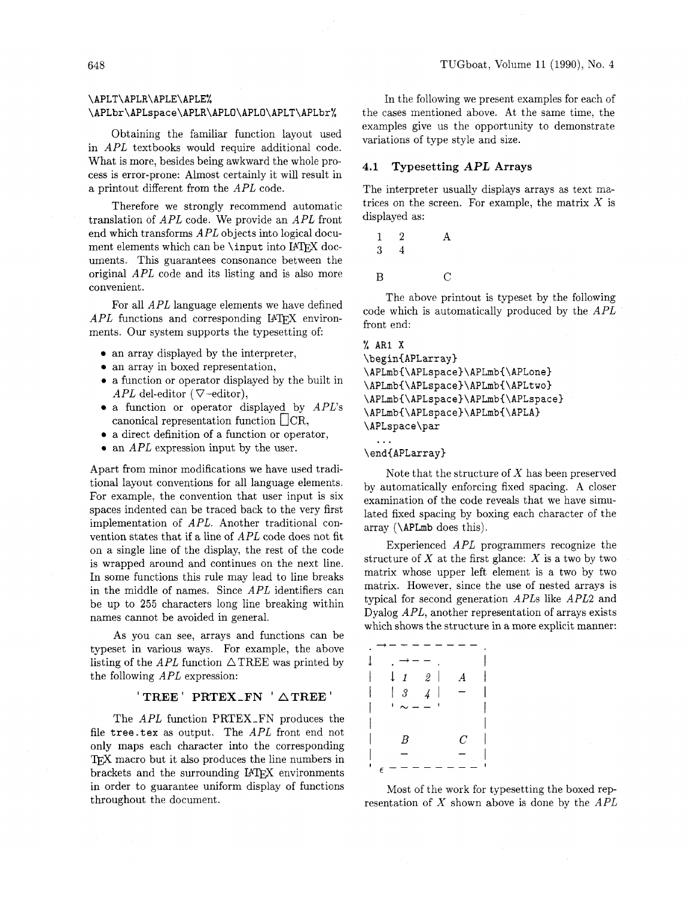What is more, besides being awkward the whole process is error-prone: Almost certainly it will result in a printout different from the *APL* code.

Therefore we strongly recommend automatic translation of *APL* code. We provide an *APL* front end which transforms *APL* objects into logical document elements which can be **\input** into IATFX documents. This guarantees consonance between the original *APL* code and its listing and is also more convenient.

For all *APL* language elements we have defined APL functions and corresponding IATFX environments. Our system supports the typesetting of:

- an array displayed by the interpreter,
- an array in boxed representation,
- **0** a function or operator displayed by the built in APL del-editor ( $\nabla$ -editor),
- a function or operator displayed by *APL's*  canonical representation function  $\Box$  CR,
- a direct definition of a function or operator,
- **0** an *APL* expression input by the user.

Apart from minor modifications we have used traditional layout conventions for all language elements. For example, the convention that user input is six spaces indented can be traced back to the very first implementation of *APL.* Another traditional convention states that if a line of *APL* code does not fit on a single line of the display, the rest of the code is wrapped around and continues on the next line. In some functions this rule may lead to line breaks in the middle of names. Since *APL* identifiers can be up to **255** characters long line breaking within names cannot be avoided in general.

As you can see, arrays and functions can be typeset in various ways. For example, the above listing of the  $APL$  function  $\triangle$ TREE was printed by the following *APL* expression:

### ' **TREE** ' **PRTEX-FN** ' **ATREE** '

The *APL* function PRTEX-FN produces the file **tree.tex** as output. The *APL* front end not only maps each character into the corresponding TEX macro but it also produces the line numbers in brackets and the surrounding IATEX environments in order to guarantee uniform display of functions throughout the document.

**\APLT\APLR\APLE\APLE%** In the following we present examples for each of the cases mentioned above. At the same time, the Obtaining the familiar function layout used<br>in *APL* textbooks would require additional code.<br> $APL$  textbooks would require additional code.

### **4.1 Typesetting APL Arrays**

The interpreter usually displays arrays as text matrices on the screen. For example, the matrix  $X$  is displayed as:

 $\overline{2}$  $\mathbf{1}$ A 3  $\overline{4}$  $\overline{B}$  $\overline{C}$ 

The above printout is typeset by the following code which is automatically produced by the *APL*  front end:

```
% AR1 X
\begin{APLarray}
\APLmb{\APLspace}\APLmb{\APLone}
\APLmb{\APLspace}\APLmb{\APLtwo}
\APLmb{\APLspace}\APLmb{\APLspace}
\APLmb{\APLspace}\APLmb{\APLA}
\APLspace\par
  \ddotsc
```
\end{APLarray}

Note that the structure of  $X$  has been preserved by automatically enforcing fixed spacing. A closer examination of the code reveals that we have simulated fixed spacing by boxing each character of the array **(\APLmb** does this).

Experienced *APL* programmers recognize the structure of  $X$  at the first glance:  $X$  is a two by two matrix whose upper left element is a two by two matrix. However, since the use of nested arrays is typical for second generation *APLs* like *APL2* and Dyalog *APL,* another representation of arrays exists which shows the structure in a more explicit manner:

| $\downarrow$ 1<br>$\mathfrak{D}^-$<br>$\boldsymbol{A}$<br>Į |  |
|-------------------------------------------------------------|--|
| $\boldsymbol{\beta}$<br>I<br>$\overline{4}$                 |  |
| ı                                                           |  |
|                                                             |  |
| B<br>$\overline{C}$                                         |  |
|                                                             |  |
| $\epsilon$                                                  |  |

Most of the work for typesetting the boxed representation of X shown above is done by the *APL*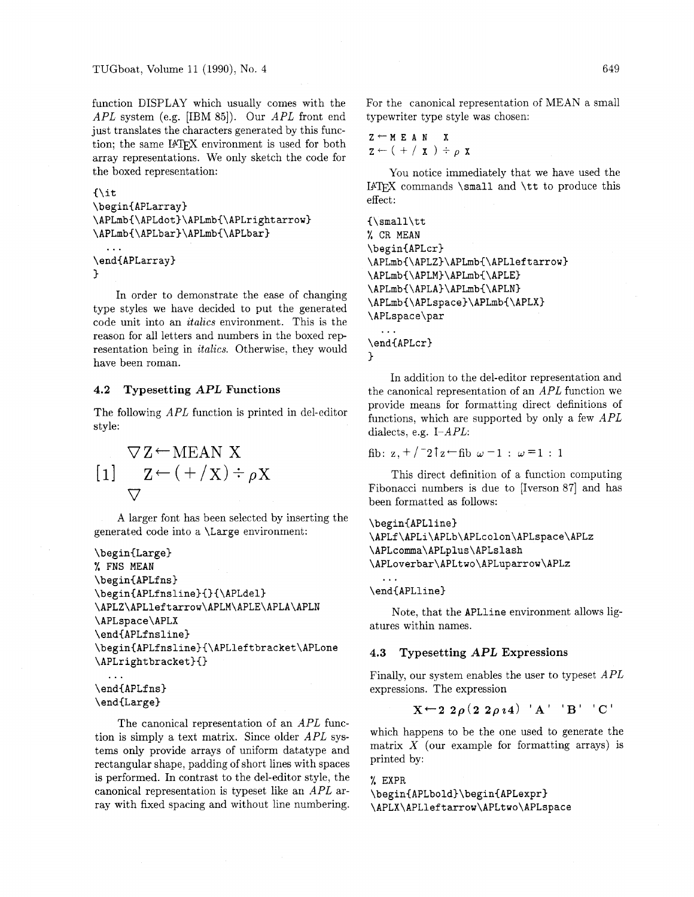function DISPLAY which usually comes with the APL system (e.g. [IBM **851).** Our APL front end just translates the characters generated by this function; the same IATFX environment is used for both array representations. We only sketch the code for the boxed representation:

```
\{it
```

```
\begin{APLarray}
\APLmb{\APLdot}\APLmb{\APLrightarrow}
\APLmb{\APLbar}\APLmb{\APLbar}
```

```
\ddotsc\end{APLarray}
<sup>1</sup>
```
In order to demonstrate the ease of changing type styles we have decided to put the generated code unit into an *italics* environment. This is the reason for all letters and numbers in the boxed representation being in *italics.* Otherwise, they would have been roman.

# **4.2 Typesetting APL Functions**

The following APL function is printed in del-editor style:

$$
\nabla Z \leftarrow \text{MEAN X}
$$
\n
$$
[1] \quad Z \leftarrow (+ / X) \div \rho X
$$
\n
$$
\nabla
$$

A larger font has been selected by inserting the generated code into a **\Large** environment:

```
\begin(Large) 
% FNS MEAN 
\begin{APLfns) 
\begin{APLfnsline){)(\APLdel) 
\APLZ\APLleftarrow\APLM\APLE\APLA\APLN 
\APLspace\APLX 
\end(APLfnsline) 
\beginCAPLfnsline)(\APLleftbracket\APLone 
\APLrightbracket}{}
```

```
\end(APLfns) 
\end(Large)
```
...

The canonical representation of an APL function is simply a text matrix. Since older APL systems only provide arrays of uniform datatype and rectangular shape, padding of short lines with spaces is performed. In contrast to the del-editor style, the canonical representation is typeset like an APL array with fixed spacing and without line numbering. For the canonical representation of MEAN a small typewriter type style was chosen:

 $Z \leftarrow M E A N X$  $z \leftarrow (+ / x) \div \rho x$ 

You notice immediately that we have used the I4W commands **\small** and **\tt** to produce this effect:

```
(\small\tt 
% CR MEAN 
\begin(APLcr) 
\APLmbC\APLZ)\APLmb(\APLleftarrow) 
\APLmb(\APLM)\APLmb(\APLE) 
\APLmb(\APLA)\APLmb{\APLN) 
\APLmb{\APLspace}\APLmb{\APLX}
\APLspace\par 
  \ddotsc\end{APLcr}
\mathcal{F}
```
In addition to the del-editor representation and the canonical representation of an APL function we provide means for formatting direct definitions of functions, which are supported by only a few  $APL$ dialects, e.g. I-APL:

fib:  $z, +/2$  $z$  + fib  $\omega$  -1 :  $\omega$  =1 : 1

This direct definition of a function computing Fibonacci numbers is due to [Iverson **871** and has been formatted as follows:

```
\begin{APLline}
\APLf\APLi\APLb\APLcolon\APLspace\APLz
\APLcomma\APLplus\APLslash
\APLoverbar\APLtwo\APLuparrow\APLz
```
**\endCAPLline)** 

 $\ddotsc$ 

Note, that the **APLline** environment allows ligatures within names.

### 4.3 **Typesetting** APL **Expressions**

Finally, our system enables the user to typeset APL expressions. The expression

$$
X \leftarrow 2 \; 2 \rho \left( 2 \; 2 \rho \, i \, 4 \right) \quad A \quad B \quad C
$$

which happens to be the one used to generate the matrix  $X$  (our example for formatting arrays) is printed by:

# % **EXPR**

```
\begin(APLbold)\begin&lPLexpr) 
\APLX\APLleftarrow\APLtwo\APLspace
```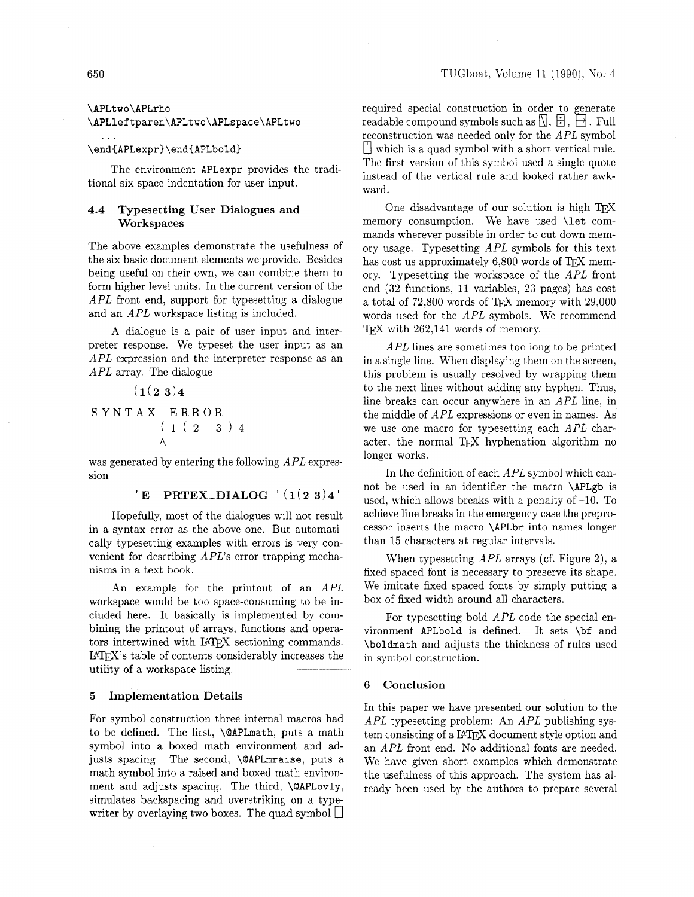### \APLtwo\APLrho

### \APLleftparen\APLtwo\APLspace\APLtwo

### \end{APLexpr}\end{APLbold}

The environment APLexpr provides the traditional six space indentation for user input.

## **4.4 Typesetting User Dialogues and Workspaces**

The above examples demonstrate the usefulness of the six basic document elements we provide. Besides being useful on their own, we can combine them to form higher level units. In the current version of the *APL* front end, support for typesetting a dialogue and an *APL* workspace listing is included.

A dialogue is a pair of user input and interpreter response. We typeset the user input as an *APL* expression and the interpreter response as an *APL* array. The dialogue

$$
(1(2 3)4
$$
  
S YNTAX ERROR  

$$
(1 (2 3) 4
$$
  

$$
(1 (2 3) 4
$$

 $\mathcal{L}^{\text{max}}$ 

was generated by entering the following *APL* expression

```
'E' PRTEX_DIALOG '(1(2\ 3)4)'
```
Hopefully, most of the dialogues will not result in a syntax error as the above one. But automatically typesetting examples with errors is very convenient for describing *APL's* error trapping mechanisms in a text book.

An example for the printout of an *APL*  workspace would be too space-consuming to be included here. It basically is implemented by combining the printout of arrays, functions and operators intertwined with IATEX sectioning commands. IPW's table of contents considerably increases the utility of a workspace listing.

### 5 **Implementation Details**

For symbol construction three internal macros had to be defined. The first, \QAPLmath, puts a math symbol into a boxed math environment and adjusts spacing. The second, \QAPLmraise, puts a math symbol into a raised and boxed math environment and adjusts spacing. The third, \QAPLovly, simulates backspacing and overstriking on a typewriter by overlaying two boxes. The quad symbol  $\Box$ 

required special construction in order to generate readable compound symbols such as  $[ \cdot, \cdot \cdot ]$ ,  $\rightarrow$ . Full reconstruction was needed only for the *APL* symbol  $\Box$  which is a quad symbol with a short vertical rule. The first version of this symbol used a single quote instead of the vertical rule and looked rather awkward.

One disadvantage of our solution is high TFX memory consumption. We have used \let commands wherever possible in order to cut down memory usage. Typesetting *APL* symbols for this text has cost us approximately  $6,800$  words of TFX memory. Typesetting the workspace of the *APL* front end (32 functions, 11 variables, 23 pages) has cost a total of 72,800 words of TpX memory with 29,000 words used for the *APL* symbols. We recommend TEX with 262,141 words of memory.

*APL* lines are sometimes too long to be printed in a single line. When displaying them on the screen, this problem is usually resolved by wrapping them to the next lines without adding any hyphen. Thus, line breaks can occur anywhere in an *APL* line, in the middle of *APL* expressions or even in names. As we use one macro for typesetting each *APL* character, the normal TFX hyphenation algorithm no longer works.

In the definition of each *APL* symbol which cannot be used in an identifier the macro \APLgb is used, which allows breaks with a penalty of -10. To achieve line breaks in the emergency case the preprocessor inserts the macro \APLbr into names longer than 15 characters at regular intervals.

When typesetting *APL* arrays (cf. Figure 2). a fixed spaced font is necessary to preserve its shape. We imitate fixed spaced fonts by simply putting a box of fixed width around all characters.

For typesetting bold *APL* code the special environment APLbold is defined. It sets \bf and \boldmath and adjusts the thickness of rules used in symbol construction.

### **6 Conclusion**

In this paper we have presented our solution to the *APL* typesetting problem: An *APL* publishing system consisting of a IATEX document style option and an *APL* front end. No additional fonts are needed. We have given short examples which demonstrate the usefulness of this approach. The system has already been used by the authors to prepare several

 $\mathbf{1}$